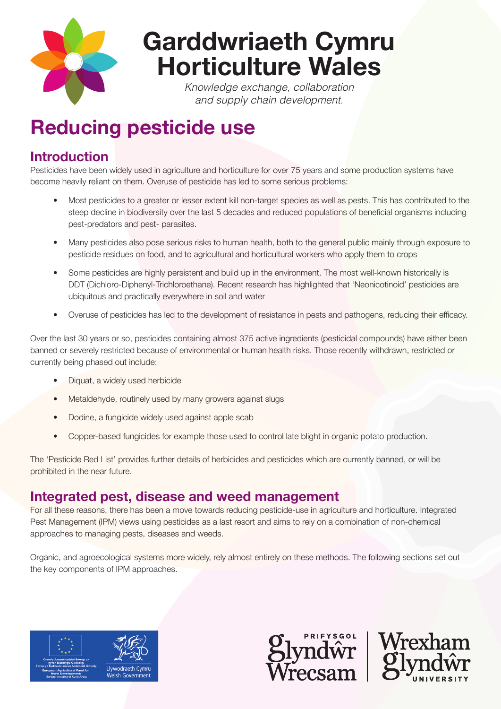

# **Garddwriaeth Cymru Horticulture Wales**

*Knowledge exchange, collaboration and supply chain development.* 

## **Reducing pesticide use**

## **Introduction**

Pesticides have been widely used in agriculture and horticulture for over 75 years and some production systems have become heavily reliant on them. Overuse of pesticide has led to some serious problems:

- Most pesticides to a greater or lesser extent kill non-target species as well as pests. This has contributed to the steep decline in biodiversity over the last 5 decades and reduced populations of beneficial organisms including pest-predators and pest- parasites.
- Many pesticides also pose serious risks to human health, both to the general public mainly through exposure to pesticide residues on food, and to agricultural and horticultural workers who apply them to crops
- Some pesticides are highly persistent and build up in the environment. The most well-known historically is DDT (Dichloro-Diphenyl-Trichloroethane). Recent research has highlighted that 'Neonicotinoid' pesticides are ubiquitous and practically everywhere in soil and water
- Overuse of pesticides has led to the development of resistance in pests and pathogens, reducing their efficacy.

Over the last 30 years or so, pesticides containing almost 375 active ingredients (pesticidal compounds) have either been banned or severely restricted because of environmental or human health risks. Those recently withdrawn, restricted or currently being phased out include:

- Diquat, a widely used herbicide
- Metaldehyde, routinely used by many growers against slugs
- Dodine, a fungicide widely used against apple scab
- Copper-based fungicides for example those used to control late blight in organic potato production.

The 'Pesticide Red List' provides further details of herbicides and pesticides which are currently banned, or will be prohibited in the near future.

## **Integrated pest, disease and weed management**

For all these reasons, there has been a move towards reducing pesticide-use in agriculture and horticulture. Integrated Pest Management (IPM) views using pesticides as a last resort and aims to rely on a combination of non-chemical approaches to managing pests, diseases and weeds.

Organic, and agroecological systems more widely, rely almost entirely on these methods. The following sections set out the key components of IPM approaches.





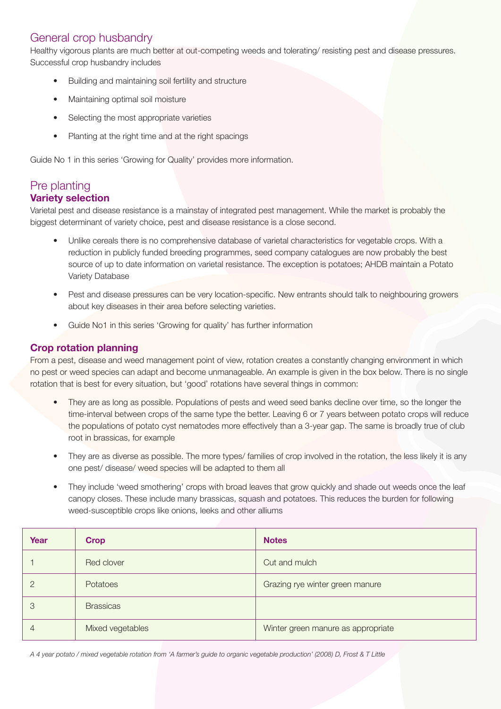#### General crop husbandry

Healthy vigorous plants are much better at out-competing weeds and tolerating/ resisting pest and disease pressures. Successful crop husbandry includes

- Building and maintaining soil fertility and structure
- Maintaining optimal soil moisture
- Selecting the most appropriate varieties
- Planting at the right time and at the right spacings

Guide No 1 in this series 'Growing for Quality' provides more information.

#### Pre planting **Variety selection**

Varietal pest and disease resistance is a mainstay of integrated pest management. While the market is probably the biggest determinant of variety choice, pest and disease resistance is a close second.

- Unlike cereals there is no comprehensive database of varietal characteristics for vegetable crops. With a reduction in publicly funded breeding programmes, seed company catalogues are now probably the best source of up to date information on varietal resistance. The exception is potatoes; AHDB maintain a Potato Variety Database
- Pest and disease pressures can be very location-specific. New entrants should talk to neighbouring growers about key diseases in their area before selecting varieties.
- Guide No1 in this series 'Growing for quality' has further information

#### **Crop rotation planning**

From a pest, disease and weed management point of view, rotation creates a constantly changing environment in which no pest or weed species can adapt and become unmanageable. An example is given in the box below. There is no single rotation that is best for every situation, but 'good' rotations have several things in common:

- They are as long as possible. Populations of pests and weed seed banks decline over time, so the longer the time-interval between crops of the same type the better. Leaving 6 or 7 years between potato crops will reduce the populations of potato cyst nematodes more effectively than a 3-year gap. The same is broadly true of club root in brassicas, for example
- They are as diverse as possible. The more types/ families of crop involved in the rotation, the less likely it is any one pest/ disease/ weed species will be adapted to them all
- They include 'weed smothering' crops with broad leaves that grow quickly and shade out weeds once the leaf canopy closes. These include many brassicas, squash and potatoes. This reduces the burden for following weed-susceptible crops like onions, leeks and other alliums

| Year           | <b>Crop</b>      | <b>Notes</b>                       |  |
|----------------|------------------|------------------------------------|--|
|                | Red clover       | Cut and mulch                      |  |
| $\overline{2}$ | Potatoes         | Grazing rye winter green manure    |  |
| 3              | <b>Brassicas</b> |                                    |  |
| $\overline{4}$ | Mixed vegetables | Winter green manure as appropriate |  |

*A 4 year potato / mixed vegetable rotation from 'A farmer's guide to organic vegetable production' (2008) D, Frost & T Little*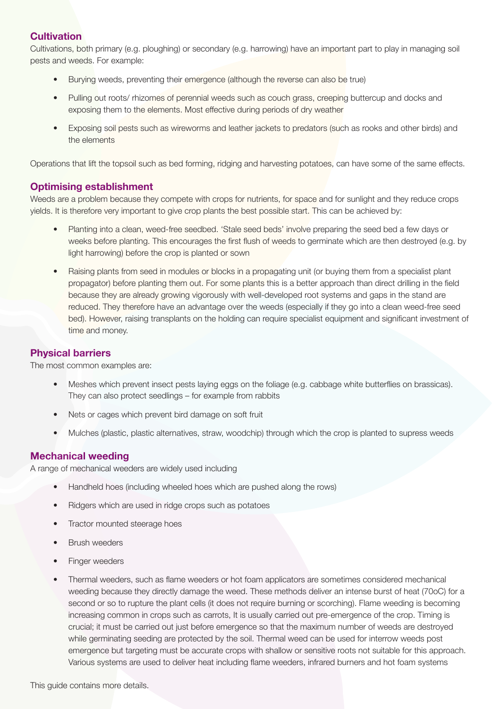#### **Cultivation**

Cultivations, both primary (e.g. ploughing) or secondary (e.g. harrowing) have an important part to play in managing soil pests and weeds. For example:

- Burying weeds, preventing their emergence (although the reverse can also be true)
- Pulling out roots/ rhizomes of perennial weeds such as couch grass, creeping buttercup and docks and exposing them to the elements. Most effective during periods of dry weather
- Exposing soil pests such as wireworms and leather jackets to predators (such as rooks and other birds) and the elements

Operations that lift the topsoil such as bed forming, ridging and harvesting potatoes, can have some of the same effects.

#### **Optimising establishment**

Weeds are a problem because they compete with crops for nutrients, for space and for sunlight and they reduce crops yields. It is therefore very important to give crop plants the best possible start. This can be achieved by:

- Planting into a clean, weed-free seedbed. 'Stale seed beds' involve preparing the seed bed a few days or weeks before planting. This encourages the first flush of weeds to germinate which are then destroyed (e.g. by light harrowing) before the crop is planted or sown
- Raising plants from seed in modules or blocks in a propagating unit (or buying them from a specialist plant propagator) before planting them out. For some plants this is a better approach than direct drilling in the field because they are already growing vigorously with well-developed root systems and gaps in the stand are reduced. They therefore have an advantage over the weeds (especially if they go into a clean weed-free seed bed). However, raising transplants on the holding can require specialist equipment and significant investment of time and money.

#### **Physical barriers**

The most common examples are:

- Meshes which prevent insect pests laying eggs on the foliage (e.g. cabbage white butterflies on brassicas). They can also protect seedlings – for example from rabbits
- Nets or cages which prevent bird damage on soft fruit
- Mulches (plastic, plastic alternatives, straw, woodchip) through which the crop is planted to supress weeds

#### **Mechanical weeding**

A range of mechanical weeders are widely used including

- Handheld hoes (including wheeled hoes which are pushed along the rows)
- Ridgers which are used in ridge crops such as potatoes
- Tractor mounted steerage hoes
- **Brush weeders**
- Finger weeders
- Thermal weeders, such as flame weeders or hot foam applicators are sometimes considered mechanical weeding because they directly damage the weed. These methods deliver an intense burst of heat (70oC) for a second or so to rupture the plant cells (it does not require burning or scorching). Flame weeding is becoming increasing common in crops such as carrots, It is usually carried out pre-emergence of the crop. Timing is crucial; it must be carried out just before emergence so that the maximum number of weeds are destroyed while germinating seeding are protected by the soil. Thermal weed can be used for interrow weeds post emergence but targeting must be accurate crops with shallow or sensitive roots not suitable for this approach. Various systems are used to deliver heat including flame weeders, infrared burners and hot foam systems

This guide contains more details.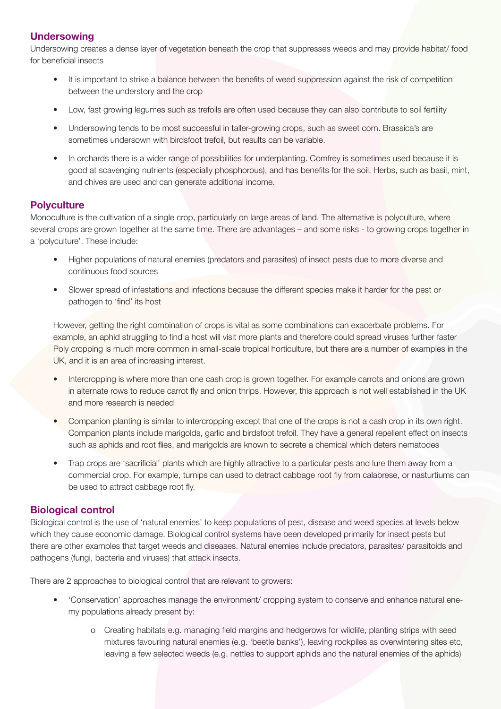#### **Undersowing**

Undersowing creates a dense layer of vegetation beneath the crop that suppresses weeds and may provide habitat/ food for beneficial insects

- It is important to strike a balance between the benefits of weed suppression against the risk of competition between the understory and the crop
- Low, fast growing legumes such as trefoils are often used because they can also contribute to soil fertility
- Undersowing tends to be most successful in taller-growing crops, such as sweet corn. Brassica's are sometimes undersown with birdsfoot trefoil, but results can be variable.
- In orchards there is a wider range of possibilities for underplanting. Comfrey is sometimes used because it is good at scavenging nutrients (especially phosphorous), and has benefits for the soil. Herbs, such as basil, mint, and chives are used and can generate additional income.

#### **Polyculture**

Monoculture is the cultivation of a single crop, particularly on large areas of land. The alternative is polyculture, where several crops are grown together at the same time. There are advantages – and some risks - to growing crops together in a 'polyculture'. These include:

- Higher populations of natural enemies (predators and parasites) of insect pests due to more diverse and continuous food sources
- Slower spread of infestations and infections because the different species make it harder for the pest or pathogen to 'find' its host

However, getting the right combination of crops is vital as some combinations can exacerbate problems. For example, an aphid struggling to find a host will visit more plants and therefore could spread viruses further faster Poly cropping is much more common in small-scale tropical horticulture, but there are a number of examples in the UK, and it is an area of increasing interest.

- Intercropping is where more than one cash crop is grown together. For example carrots and onions are grown in alternate rows to reduce carrot fly and onion thrips. However, this approach is not well established in the UK and more research is needed
- Companion planting is similar to intercropping except that one of the crops is not a cash crop in its own right. Companion plants include marigolds, garlic and birdsfoot trefoil. They have a general repellent effect on insects such as aphids and root flies, and marigolds are known to secrete a chemical which deters nematodes
- Trap crops are 'sacrificial' plants which are highly attractive to a particular pests and lure them away from a commercial crop. For example, turnips can used to detract cabbage root fly from calabrese, or nasturtiums can be used to attract cabbage root fly.

#### **Biological control**

Biological control is the use of 'natural enemies' to keep populations of pest, disease and weed species at levels below which they cause economic damage. Biological control systems have been developed primarily for insect pests but there are other examples that target weeds and diseases. Natural enemies include predators, parasites/ parasitoids and pathogens (fungi, bacteria and viruses) that attack insects.

There are 2 approaches to biological control that are relevant to growers:

- 'Conservation' approaches manage the environment/ cropping system to conserve and enhance natural enemy populations already present by:
	- o Creating habitats e.g. managing field margins and hedgerows for wildlife, planting strips with seed mixtures favouring natural enemies (e.g. 'beetle banks'), leaving rockpiles as overwintering sites etc, leaving a few selected weeds (e.g. nettles to support aphids and the natural enemies of the aphids)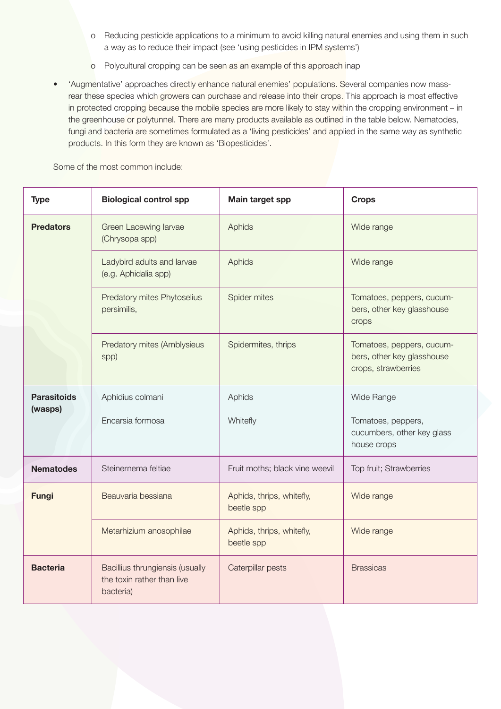- o Reducing pesticide applications to a minimum to avoid killing natural enemies and using them in such a way as to reduce their impact (see 'using pesticides in IPM systems')
- o Polycultural cropping can be seen as an example of this approach inap
- 'Augmentative' approaches directly enhance natural enemies' populations. Several companies now massrear these species which growers can purchase and release into their crops. This approach is most effective in protected cropping because the mobile species are more likely to stay within the cropping environment – in the greenhouse or polytunnel. There are many products available as outlined in the table below. Nematodes, fungi and bacteria are sometimes formulated as a 'living pesticides' and applied in the same way as synthetic products. In this form they are known as 'Biopesticides'.

Some of the most common include:

| <b>Type</b>                   | <b>Biological control spp</b>                                              | Main target spp                         | <b>Crops</b>                                                                   |
|-------------------------------|----------------------------------------------------------------------------|-----------------------------------------|--------------------------------------------------------------------------------|
| <b>Predators</b>              | Green Lacewing larvae<br>(Chrysopa spp)                                    | Aphids                                  | Wide range                                                                     |
|                               | Ladybird adults and larvae<br>(e.g. Aphidalia spp)                         | Aphids                                  | Wide range                                                                     |
|                               | Predatory mites Phytoselius<br>persimilis,                                 | Spider mites                            | Tomatoes, peppers, cucum-<br>bers, other key glasshouse<br>crops               |
|                               | Predatory mites (Amblysieus<br>spp)                                        | Spidermites, thrips                     | Tomatoes, peppers, cucum-<br>bers, other key glasshouse<br>crops, strawberries |
| <b>Parasitoids</b><br>(wasps) | Aphidius colmani                                                           | Aphids                                  | Wide Range                                                                     |
|                               | Encarsia formosa                                                           | Whitefly                                | Tomatoes, peppers,<br>cucumbers, other key glass<br>house crops                |
| <b>Nematodes</b>              | Steinernema feltiae                                                        | Fruit moths; black vine weevil          | Top fruit; Strawberries                                                        |
| <b>Fungi</b>                  | Beauvaria bessiana                                                         | Aphids, thrips, whitefly,<br>beetle spp | Wide range                                                                     |
|                               | Metarhizium anosophilae                                                    | Aphids, thrips, whitefly,<br>beetle spp | Wide range                                                                     |
| <b>Bacteria</b>               | Bacillius thrungiensis (usually<br>the toxin rather than live<br>bacteria) | Caterpillar pests                       | <b>Brassicas</b>                                                               |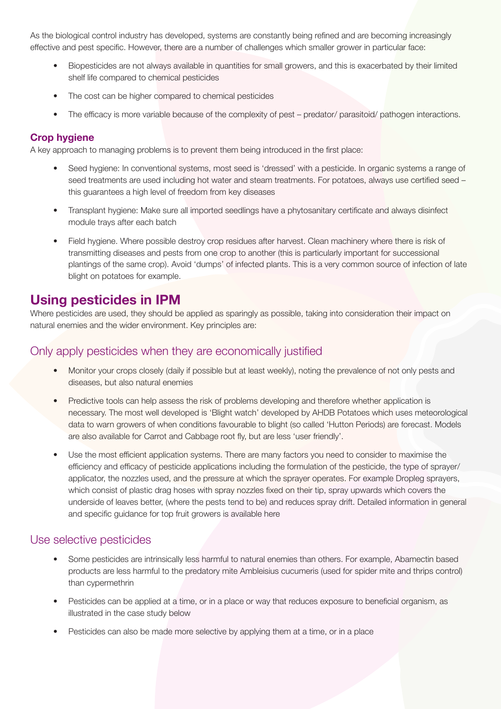As the biological control industry has developed, systems are constantly being refined and are becoming increasingly effective and pest specific. However, there are a number of challenges which smaller grower in particular face:

- Biopesticides are not always available in quantities for small growers, and this is exacerbated by their limited shelf life compared to chemical pesticides
- The cost can be higher compared to chemical pesticides
- The efficacy is more variable because of the complexity of pest predator/ parasitoid/ pathogen interactions.

#### **Crop hygiene**

A key approach to managing problems is to prevent them being introduced in the first place:

- Seed hygiene: In conventional systems, most seed is 'dressed' with a pesticide. In organic systems a range of seed treatments are used including hot water and steam treatments. For potatoes, always use certified seed – this guarantees a high level of freedom from key diseases
- Transplant hygiene: Make sure all imported seedlings have a phytosanitary certificate and always disinfect module trays after each batch
- Field hygiene. Where possible destroy crop residues after harvest. Clean machinery where there is risk of transmitting diseases and pests from one crop to another (this is particularly important for successional plantings of the same crop). Avoid 'dumps' of infected plants. This is a very common source of infection of late blight on potatoes for example.

## **Using pesticides in IPM**

Where pesticides are used, they should be applied as sparingly as possible, taking into consideration their impact on natural enemies and the wider environment. Key principles are:

#### Only apply pesticides when they are economically justified

- Monitor your crops closely (daily if possible but at least weekly), noting the prevalence of not only pests and diseases, but also natural enemies
- Predictive tools can help assess the risk of problems developing and therefore whether application is necessary. The most well developed is 'Blight watch' developed by AHDB Potatoes which uses meteorological data to warn growers of when conditions favourable to blight (so called 'Hutton Periods) are forecast. Models are also available for Carrot and Cabbage root fly, but are less 'user friendly'.
- Use the most efficient application systems. There are many factors you need to consider to maximise the efficiency and efficacy of pesticide applications including the formulation of the pesticide, the type of sprayer/ applicator, the nozzles used, and the pressure at which the sprayer operates. For example Dropleg sprayers, which consist of plastic drag hoses with spray nozzles fixed on their tip, spray upwards which covers the underside of leaves better, (where the pests tend to be) and reduces spray drift. Detailed information in general and specific guidance for top fruit growers is available here

#### Use selective pesticides

- Some pesticides are intrinsically less harmful to natural enemies than others. For example, Abamectin based products are less harmful to the predatory mite Ambleisius cucumeris (used for spider mite and thrips control) than cypermethrin
- Pesticides can be applied at a time, or in a place or way that reduces exposure to beneficial organism, as illustrated in the case study below
- Pesticides can also be made more selective by applying them at a time, or in a place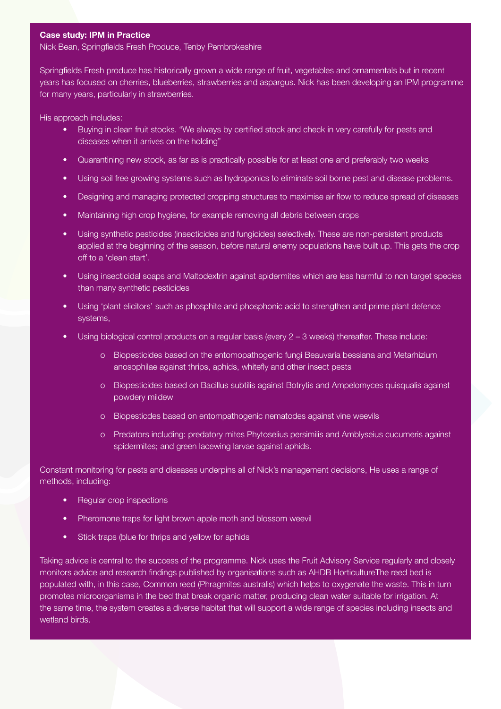#### **Case study: IPM in Practice**

Nick Bean, Springfields Fresh Produce, Tenby Pembrokeshire

Springfields Fresh produce has historically grown a wide range of fruit, vegetables and ornamentals but in recent years has focused on cherries, blueberries, strawberries and aspargus. Nick has been developing an IPM programme for many years, particularly in strawberries.

His approach includes:

- Buying in clean fruit stocks. "We always by certified stock and check in very carefully for pests and diseases when it arrives on the holding"
- Quarantining new stock, as far as is practically possible for at least one and preferably two weeks
- Using soil free growing systems such as hydroponics to eliminate soil borne pest and disease problems.
- Designing and managing protected cropping structures to maximise air flow to reduce spread of diseases
- Maintaining high crop hygiene, for example removing all debris between crops
- Using synthetic pesticides (insecticides and fungicides) selectively. These are non-persistent products applied at the beginning of the season, before natural enemy populations have built up. This gets the crop off to a 'clean start'.
- Using insecticidal soaps and Maltodextrin against spidermites which are less harmful to non target species than many synthetic pesticides
- Using 'plant elicitors' such as phosphite and phosphonic acid to strengthen and prime plant defence systems,
- Using biological control products on a regular basis (every 2 3 weeks) thereafter. These include:
	- o Biopesticides based on the entomopathogenic fungi Beauvaria bessiana and Metarhizium anosophilae against thrips, aphids, whitefly and other insect pests
	- o Biopesticides based on Bacillus subtilis against Botrytis and Ampelomyces quisqualis against powdery mildew
	- o Biopesticdes based on entompathogenic nematodes against vine weevils
	- o Predators including: predatory mites Phytoselius persimilis and Amblyseius cucumeris against spidermites; and green lacewing larvae against aphids.

Constant monitoring for pests and diseases underpins all of Nick's management decisions, He uses a range of methods, including:

- Regular crop inspections
- Pheromone traps for light brown apple moth and blossom weevil
- Stick traps (blue for thrips and yellow for aphids

Taking advice is central to the success of the programme. Nick uses the Fruit Advisory Service regularly and closely monitors advice and research findings published by organisations such as AHDB HorticultureThe reed bed is populated with, in this case, Common reed (Phragmites australis) which helps to oxygenate the waste. This in turn promotes microorganisms in the bed that break organic matter, producing clean water suitable for irrigation. At the same time, the system creates a diverse habitat that will support a wide range of species including insects and wetland birds.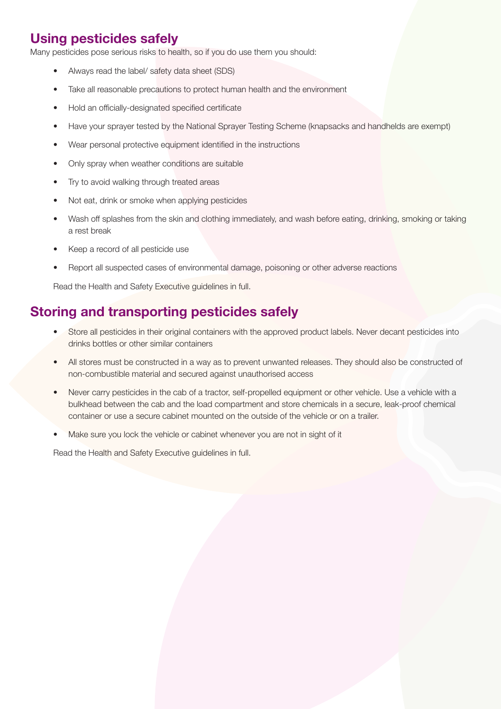## **Using pesticides safely**

Many pesticides pose serious risks to health, so if you do use them you should:

- Always read the label/ safety data sheet (SDS)
- Take all reasonable precautions to protect human health and the environment
- Hold an officially-designated specified certificate
- Have your sprayer tested by the National Sprayer Testing Scheme (knapsacks and handhelds are exempt)
- Wear personal protective equipment identified in the instructions
- Only spray when weather conditions are suitable
- Try to avoid walking through treated areas
- Not eat, drink or smoke when applying pesticides
- Wash off splashes from the skin and clothing immediately, and wash before eating, drinking, smoking or taking a rest break
- Keep a record of all pesticide use
- Report all suspected cases of environmental damage, poisoning or other adverse reactions

Read the Health and Safety Executive guidelines in full.

## **Storing and transporting pesticides safely**

- Store all pesticides in their original containers with the approved product labels. Never decant pesticides into drinks bottles or other similar containers
- All stores must be constructed in a way as to prevent unwanted releases. They should also be constructed of non-combustible material and secured against unauthorised access
- Never carry pesticides in the cab of a tractor, self-propelled equipment or other vehicle. Use a vehicle with a bulkhead between the cab and the load compartment and store chemicals in a secure, leak-proof chemical container or use a secure cabinet mounted on the outside of the vehicle or on a trailer.
- Make sure you lock the vehicle or cabinet whenever you are not in sight of it

Read the Health and Safety Executive guidelines in full.